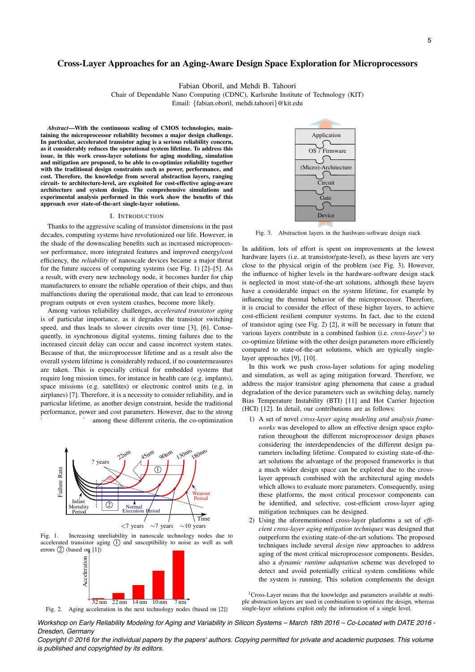# Cross-Layer Approaches for an Aging-Aware Design Space Exploration for Microprocessors

Fabian Oboril, and Mehdi B. Tahoori

Chair of Dependable Nano Computing (CDNC), Karlsruhe Institute of Technology (KIT)

Email: *{*fabian.oboril, mehdi.tahoori*}*@kit.edu

*Abstract*—With the continuous scaling of CMOS technologies, maintaining the microprocessor reliability becomes a major design challenge. In particular, accelerated transistor aging is a serious reliability concern, as it considerably reduces the operational system lifetime. To address this issue, in this work cross-layer solutions for aging modeling, simulation and mitigation are proposed, to be able to co-optimize reliability together with the traditional design constraints such as power, performance, and cost. Therefore, the knowledge from several abstraction layers, ranging circuit- to architecture-level, are exploited for cost-effective aging-aware architecture and system design. The comprehensive simulations and experimental analysis performed in this work show the benefits of this approach over state-of-the-art single-layer solutions.

#### I. INTRODUCTION

Thanks to the aggressive scaling of transistor dimensions in the past decades, computing systems have revolutionized our life. However, in the shade of the downscaling benefits such as increased microprocessor performance, more integrated features and improved energy/cost efficiency, the *reliability* of nanoscale devices became a major threat for the future success of computing systems (see Fig. 1) [2]–[5]. As a result, with every new technology node, it becomes harder for chip manufacturers to ensure the reliable operation of their chips, and thus malfunctions during the operational mode, that can lead to erroneous program outputs or even system crashes, become more likely.

Among various reliability challenges, *accelerated transistor aging* is of particular importance, as it degrades the transistor switching speed, and thus leads to slower circuits over time [3], [6]. Consequently, in synchronous digital systems, timing failures due to the increased circuit delay can occur and cause incorrect system states. Because of that, the microprocessor lifetime and as a result also the overall system lifetime is considerably reduced, if no countermeasures are taken. This is especially critical for embedded systems that require long mission times, for instance in health care (e.g. implants), space missions (e.g. satellites) or electronic control units (e.g. in airplanes) [7]. Therefore, it is a necessity to consider reliability, and in particular lifetime, as another design constraint, beside the traditional performance, power and cost parameters. However, due to the strong among these different criteria, the co-optimization



Fig. 1. Increasing unreliability in nanoscale technology nodes due to accelerated transistor aging  $(1)$  and susceptibility to noise as well as soft errors  $(2)$  (based on [1])



Fig. 2. Aging acceleration in the next technology nodes (based on [2])



Fig. 3. Abstraction layers in the hardware-software design stack

In addition, lots of effort is spent on improvements at the lowest hardware layers (i.e. at transistor/gate-level), as these layers are very close to the physical origin of the problem (see Fig. 3). However, the influence of higher levels in the hardware-software design stack is neglected in most state-of-the-art solutions, although these layers have a considerable impact on the system lifetime, for example by influencing the thermal behavior of the microprocessor. Therefore, it is crucial to consider the effect of these higher layers, to achieve cost-efficient resilient computer systems. In fact, due to the extend of transistor aging (see Fig. 2) [2], it will be necessary in future that various layers contribute in a combined fashion (i.e. *cross-layer*<sup>1</sup>) to co-optimize lifetime with the other design parameters more efficiently compared to state-of-the-art solutions, which are typically singlelayer approaches [9], [10].

In this work we push cross-layer solutions for aging modeling and simulation, as well as aging mitigation forward. Therefore, we address the major transistor aging phenomena that cause a gradual degradation of the device parameters such as switching delay, namely Bias Temperature Instability (BTI) [11] and Hot Carrier Injection (HCI) [12]. In detail, our contributions are as follows:

- 1) A set of novel *cross-layer aging modeling and analysis frameworks* was developed to allow an effective design space exploration throughout the different microprocessor design phases considering the interdependencies of the different design parameters including lifetime. Compared to existing state-of-theart solutions the advantage of the proposed frameworks is that a much wider design space can be explored due to the crosslayer approach combined with the architectural aging models which allows to evaluate more parameters. Consequently, using these platforms, the most critical processor components can be identified, and selective, cost-efficient cross-layer aging mitigation techniques can be designed.
- 2) Using the aforementioned cross-layer platforms a set of *efficient cross-layer aging mitigation techniques* was designed that outperform the existing state-of-the-art solutions. The proposed techniques include several *design time* approaches to address aging of the most critical microprocessor components. Besides, also a *dynamic runtime adaptation* scheme was developed to detect and avoid potentially critical system conditions while the system is running. This solution complements the design

<sup>1</sup>Cross-Layer means that the knowledge and parameters available at multiple abstraction layers are used in combination to optimize the design, whereas single-layer solutions exploit only the information of a single level.

*Workshop on Early Reliability Modeling for Aging and Variability in Silicon Systems – March 18th 2016 – Co-Located with DATE 2016 - Dresden, Germany*

*Copyright © 2016 for the individual papers by the papers' authors. Copying permitted for private and academic purposes. This volume is published and copyrighted by its editors.*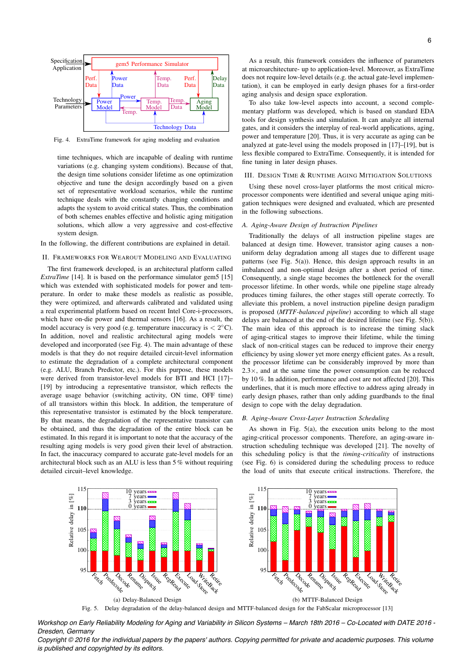

Fig. 4. ExtraTime framework for aging modeling and evaluation

time techniques, which are incapable of dealing with runtime variations (e.g. changing system conditions). Because of that, the design time solutions consider lifetime as one optimization objective and tune the design accordingly based on a given set of representative workload scenarios, while the runtime technique deals with the constantly changing conditions and adapts the system to avoid critical states. Thus, the combination of both schemes enables effective and holistic aging mitigation solutions, which allow a very aggressive and cost-effective system design.

In the following, the different contributions are explained in detail.

# II. FRAMEWORKS FOR WEAROUT MODELING AND EVALUATING

The first framework developed, is an architectural platform called *ExtraTime* [14]. It is based on the performance simulator gem5 [15] which was extended with sophisticated models for power and temperature. In order to make these models as realistic as possible, they were optimized, and afterwards calibrated and validated using a real experimental platform based on recent Intel Core-i-processors, which have on-die power and thermal sensors [16]. As a result, the model accuracy is very good (e.g. temperature inaccuracy is  $\langle 2^{\circ} \text{C} \rangle$ ). In addition, novel and realistic architectural aging models were developed and incorporated (see Fig. 4). The main advantage of these models is that they do not require detailed circuit-level information to estimate the degradation of a complete architectural component (e.g. ALU, Branch Predictor, etc.). For this purpose, these models were derived from transistor-level models for BTI and HCI [17]– [19] by introducing a representative transistor, which reflects the average usage behavior (switching activity, ON time, OFF time) of all transistors within this block. In addition, the temperature of this representative transistor is estimated by the block temperature. By that means, the degradation of the representative transistor can be obtained, and thus the degradation of the entire block can be estimated. In this regard it is important to note that the accuracy of the resulting aging models is very good given their level of abstraction. In fact, the inaccuracy compared to accurate gate-level models for an architectural block such as an ALU is less than 5 % without requiring detailed circuit–level knowledge.

As a result, this framework considers the influence of parameters at microarchitecture- up to application-level. Moreover, as ExtraTime does not require low-level details (e.g. the actual gate-level implementation), it can be employed in early design phases for a first-order aging analysis and design space exploration.

To also take low-level aspects into account, a second complementary platform was developed, which is based on standard EDA tools for design synthesis and simulation. It can analyze all internal gates, and it considers the interplay of real-world applications, aging, power and temperature [20]. Thus, it is very accurate as aging can be analyzed at gate-level using the models proposed in [17]–[19], but is less flexible compared to ExtraTime. Consequently, it is intended for fine tuning in later design phases.

### III. DESIGN TIME & RUNTIME AGING MITIGATION SOLUTIONS

Using these novel cross-layer platforms the most critical microprocessor components were identified and several unique aging mitigation techniques were designed and evaluated, which are presented in the following subsections.

# *A. Aging-Aware Design of Instruction Pipelines*

Traditionally the delays of all instruction pipeline stages are balanced at design time. However, transistor aging causes a nonuniform delay degradation among all stages due to different usage patterns (see Fig. 5(a)). Hence, this design approach results in an imbalanced and non-optimal design after a short period of time. Consequently, a single stage becomes the bottleneck for the overall processor lifetime. In other words, while one pipeline stage already produces timing failures, the other stages still operate correctly. To alleviate this problem, a novel instruction pipeline design paradigm is proposed (*MTTF-balanced pipeline*) according to which all stage delays are balanced at the end of the desired lifetime (see Fig. 5(b)). The main idea of this approach is to increase the timing slack of aging-critical stages to improve their lifetime, while the timing slack of non-critical stages can be reduced to improve their energy efficiency by using slower yet more energy efficient gates. As a result, the processor lifetime can be considerably improved by more than  $2.3 \times$ , and at the same time the power consumption can be reduced by 10 %. In addition, performance and cost are not affected [20]. This underlines, that it is much more effective to address aging already in early design phases, rather than only adding guardbands to the final design to cope with the delay degradation.

### *B. Aging-Aware Cross-Layer Instruction Scheduling*

As shown in Fig. 5(a), the execution units belong to the most aging-critical processor components. Therefore, an aging-aware instruction scheduling technique was developed [21]. The novelty of this scheduling policy is that the *timing-criticality* of instructions (see Fig. 6) is considered during the scheduling process to reduce the load of units that execute critical instructions. Therefore, the



*Workshop on Early Reliability Modeling for Aging and Variability in Silicon Systems – March 18th 2016 – Co-Located with DATE 2016 - Dresden, Germany*

*Copyright © 2016 for the individual papers by the papers' authors. Copying permitted for private and academic purposes. This volume is published and copyrighted by its editors.*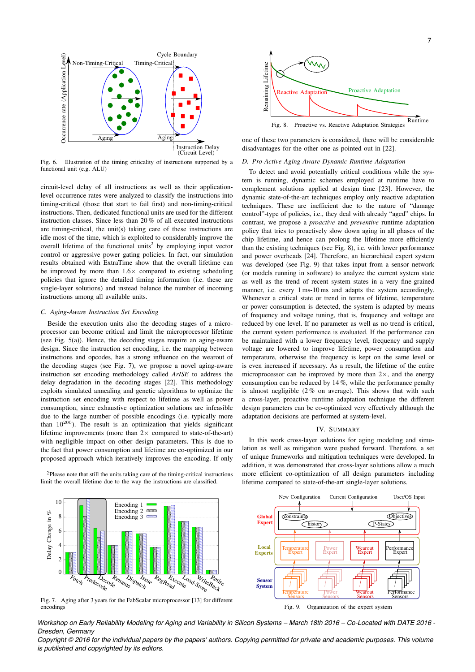

Fig. 6. Illustration of the timing criticality of instructions supported by a functional unit (e.g. ALU)

circuit-level delay of all instructions as well as their applicationlevel occurrence rates were analyzed to classify the instructions into timing-critical (those that start to fail first) and non-timing-critical instructions. Then, dedicated functional units are used for the different instruction classes. Since less than 20 % of all executed instructions are timing-critical, the unit(s) taking care of these instructions are idle most of the time, which is exploited to considerably improve the overall lifetime of the functional units<sup>2</sup> by employing input vector control or aggressive power gating policies. In fact, our simulation results obtained with ExtraTime show that the overall lifetime can be improved by more than  $1.6 \times$  compared to existing scheduling policies that ignore the detailed timing information (i.e. these are single-layer solutions) and instead balance the number of incoming instructions among all available units.

# *C. Aging-Aware Instruction Set Encoding*

Beside the execution units also the decoding stages of a microprocessor can become critical and limit the microprocessor lifetime (see Fig. 5(a)). Hence, the decoding stages require an aging-aware design. Since the instruction set encoding, i.e. the mapping between instructions and opcodes, has a strong influence on the wearout of the decoding stages (see Fig. 7), we propose a novel aging-aware instruction set encoding methodology called *ArISE* to address the delay degradation in the decoding stages [22]. This methodology exploits simulated annealing and genetic algorithms to optimize the instruction set encoding with respect to lifetime as well as power consumption, since exhaustive optimization solutions are infeasible due to the large number of possible encodings (i.e. typically more than  $10^{200}$ ). The result is an optimization that yields significant lifetime improvements (more than  $2 \times$  compared to state-of-the-art) with negligible impact on other design parameters. This is due to the fact that power consumption and lifetime are co-optimized in our proposed approach which iteratively improves the encoding. If only

2Please note that still the units taking care of the timing-critical instructions limit the overall lifetime due to the way the instructions are classified.



one of these two parameters is considered, there will be considerable disadvantages for the other one as pointed out in [22].

# *D. Pro-Active Aging-Aware Dynamic Runtime Adaptation*

To detect and avoid potentially critical conditions while the system is running, dynamic schemes employed at runtime have to complement solutions applied at design time [23]. However, the dynamic state-of-the-art techniques employ only reactive adaptation techniques. These are inefficient due to the nature of "damage control"-type of policies, i.e., they deal with already "aged" chips. In contrast, we propose a *proactive* and *preventive* runtime adaptation policy that tries to proactively slow down aging in all phases of the chip lifetime, and hence can prolong the lifetime more efficiently than the existing techniques (see Fig. 8), i.e. with lower performance and power overheads [24]. Therefore, an hierarchical expert system was developed (see Fig. 9) that takes input from a sensor network (or models running in software) to analyze the current system state as well as the trend of recent system states in a very fine-grained manner, i.e. every 1 ms-10 ms and adapts the system accordingly. Whenever a critical state or trend in terms of lifetime, temperature or power consumption is detected, the system is adapted by means of frequency and voltage tuning, that is, frequency and voltage are reduced by one level. If no parameter as well as no trend is critical, the current system performance is evaluated. If the performance can be maintained with a lower frequency level, frequency and supply voltage are lowered to improve lifetime, power consumption and temperature, otherwise the frequency is kept on the same level or is even increased if necessary. As a result, the lifetime of the entire microprocessor can be improved by more than  $2\times$ , and the energy consumption can be reduced by 14 %, while the performance penalty is almost negligible  $(2\%$  on average). This shows that with such a cross-layer, proactive runtime adaptation technique the different design parameters can be co-optimized very effectively although the adaptation decisions are performed at system-level.

#### IV. SUMMARY

In this work cross-layer solutions for aging modeling and simulation as well as mitigation were pushed forward. Therefore, a set of unique frameworks and mitigation techniques were developed. In addition, it was demonstrated that cross-layer solutions allow a much more efficient co-optimization of all design parameters including lifetime compared to state-of-the-art single-layer solutions.



Fig. 7. Aging after 3 years for the FabScalar microprocessor [13] for different encodings



Fig. 9. Organization of the expert system

*Workshop on Early Reliability Modeling for Aging and Variability in Silicon Systems – March 18th 2016 – Co-Located with DATE 2016 - Dresden, Germany*

*Copyright © 2016 for the individual papers by the papers' authors. Copying permitted for private and academic purposes. This volume is published and copyrighted by its editors.*